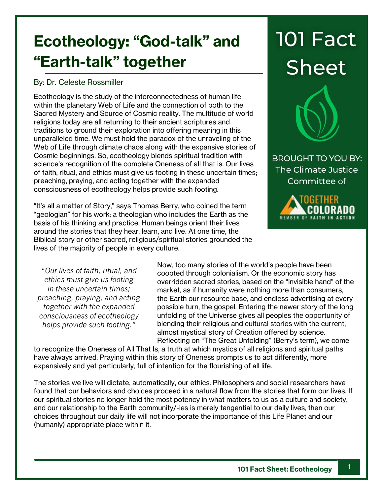## **Ecotheology: "God-talk" and "Earth-talk" together**

## By: Dr. Celeste Rossmiller

Ecotheology is the study of the interconnectedness of human life within the planetary Web of Life and the connection of both to the Sacred Mystery and Source of Cosmic reality. The multitude of world religions today are all returning to their ancient scriptures and traditions to ground their exploration into offering meaning in this unparalleled time. We must hold the paradox of the unraveling of the Web of Life through climate chaos along with the expansive stories of Cosmic beginnings. So, ecotheology blends spiritual tradition with science's recognition of the complete Oneness of all that is. Our lives of faith, ritual, and ethics must give us footing in these uncertain times; preaching, praying, and acting together with the expanded consciousness of ecotheology helps provide such footing.

"It's all a matter of Story," says Thomas Berry, who coined the term "geologian" for his work: a theologian who includes the Earth as the basis of his thinking and practice. Human beings orient their lives around the stories that they hear, learn, and live. At one time, the Biblical story or other sacred, religious/spiritual stories grounded the lives of the majority of people in every culture.

*"Our lives of faith, ritual, and ethics must give us footing in these uncertain times; preaching, praying, and acting together with the expanded consciousness of ecotheology helps provide such footing."*

Now, too many stories of the world's people have been coopted through colonialism. Or the economic story has overridden sacred stories, based on the "invisible hand" of the market, as if humanity were nothing more than consumers, the Earth our resource base, and endless advertising at every possible turn, the gospel. Entering the newer story of the long unfolding of the Universe gives all peoples the opportunity of blending their religious and cultural stories with the current, almost mystical story of Creation offered by science. Reflecting on "The Great Unfolding" (Berry's term), we come

to recognize the Oneness of All That Is, a truth at which mystics of all religions and spiritual paths have always arrived. Praying within this story of Oneness prompts us to act differently, more expansively and yet particularly, full of intention for the flourishing of all life.

The stories we live will dictate, automatically, our ethics. Philosophers and social researchers have found that our behaviors and choices proceed in a natural flow from the stories that form our lives. If our spiritual stories no longer hold the most potency in what matters to us as a culture and society, and our relationship to the Earth community/-ies is merely tangential to our daily lives, then our choices throughout our daily life will not incorporate the importance of this Life Planet and our (humanly) appropriate place within it.

## **101 Fact Sheet**



**BROUGHT TO YOU BY:** The Climate Justice Committee of